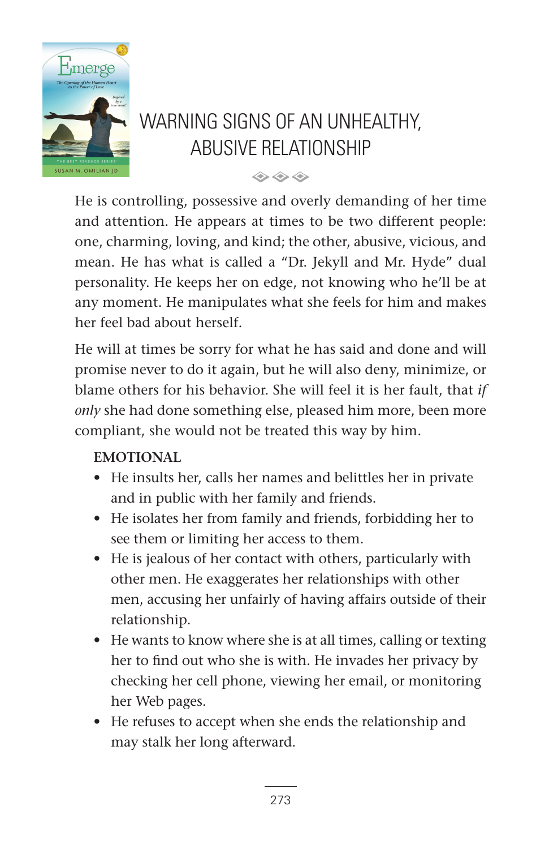

# WARNING SIGNS OF AN UNHEALTHY, ABUSIVE RELATIONSHIP

 $\Leftrightarrow$   $\Leftrightarrow$   $\Leftrightarrow$ 

He is controlling, possessive and overly demanding of her time and attention. He appears at times to be two different people: one, charming, loving, and kind; the other, abusive, vicious, and mean. He has what is called a "Dr. Jekyll and Mr. Hyde" dual personality. He keeps her on edge, not knowing who he'll be at any moment. He manipulates what she feels for him and makes her feel bad about herself.

He will at times be sorry for what he has said and done and will promise never to do it again, but he will also deny, minimize, or blame others for his behavior. She will feel it is her fault, that *if only* she had done something else, pleased him more, been more compliant, she would not be treated this way by him.

## **EMOTIONAL**

- He insults her, calls her names and belittles her in private and in public with her family and friends.
- He isolates her from family and friends, forbidding her to see them or limiting her access to them.
- He is jealous of her contact with others, particularly with other men. He exaggerates her relationships with other men, accusing her unfairly of having affairs outside of their relationship.
- He wants to know where she is at all times, calling or texting her to find out who she is with. He invades her privacy by checking her cell phone, viewing her email, or monitoring her Web pages.
- He refuses to accept when she ends the relationship and may stalk her long afterward.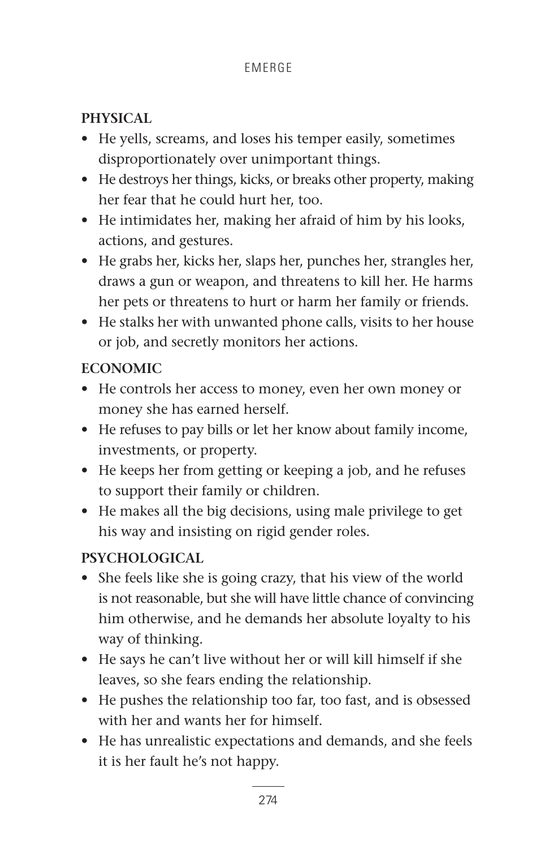#### EMERGE

### **PHYSICAL**

- He yells, screams, and loses his temper easily, sometimes disproportionately over unimportant things.
- He destroys her things, kicks, or breaks other property, making her fear that he could hurt her, too.
- He intimidates her, making her afraid of him by his looks, actions, and gestures.
- He grabs her, kicks her, slaps her, punches her, strangles her, draws a gun or weapon, and threatens to kill her. He harms her pets or threatens to hurt or harm her family or friends.
- He stalks her with unwanted phone calls, visits to her house or job, and secretly monitors her actions.

#### **ECONOMIC**

- He controls her access to money, even her own money or money she has earned herself.
- He refuses to pay bills or let her know about family income, investments, or property.
- He keeps her from getting or keeping a job, and he refuses to support their family or children.
- He makes all the big decisions, using male privilege to get his way and insisting on rigid gender roles.

### **PSYCHOLOGICAL**

- She feels like she is going crazy, that his view of the world is not reasonable, but she will have little chance of convincing him otherwise, and he demands her absolute loyalty to his way of thinking.
- He says he can't live without her or will kill himself if she leaves, so she fears ending the relationship.
- He pushes the relationship too far, too fast, and is obsessed with her and wants her for himself.
- He has unrealistic expectations and demands, and she feels it is her fault he's not happy.